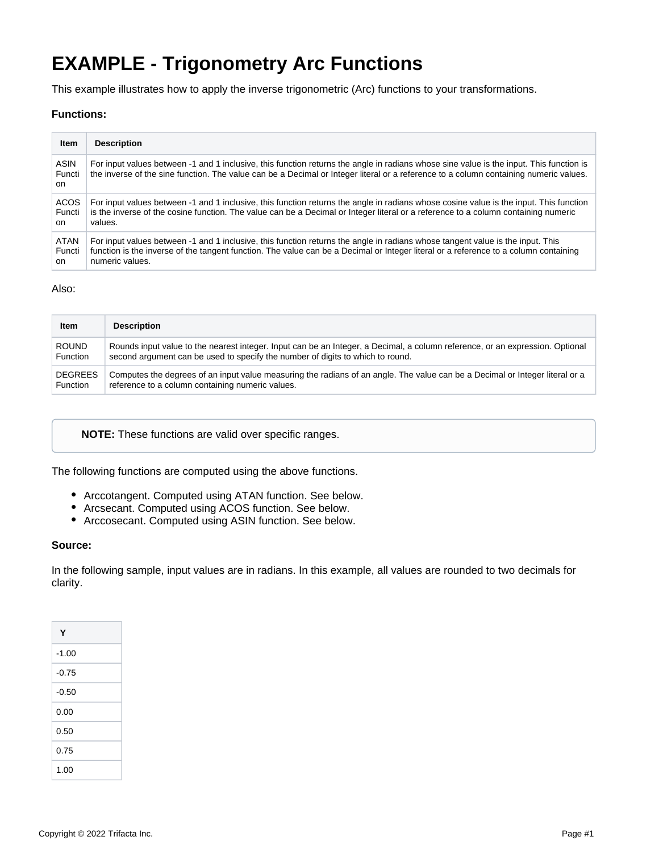# **EXAMPLE - Trigonometry Arc Functions**

This example illustrates how to apply the inverse trigonometric (Arc) functions to your transformations.

#### **Functions:**

| Item                         | <b>Description</b>                                                                                                                                                                                                                                                               |
|------------------------------|----------------------------------------------------------------------------------------------------------------------------------------------------------------------------------------------------------------------------------------------------------------------------------|
| <b>ASIN</b><br>Functi<br>on. | For input values between -1 and 1 inclusive, this function returns the angle in radians whose sine value is the input. This function is<br>the inverse of the sine function. The value can be a Decimal or Integer literal or a reference to a column containing numeric values. |
| <b>ACOS</b>                  | For input values between -1 and 1 inclusive, this function returns the angle in radians whose cosine value is the input. This function                                                                                                                                           |
| Functi                       | is the inverse of the cosine function. The value can be a Decimal or Integer literal or a reference to a column containing numeric                                                                                                                                               |
| on.                          | values.                                                                                                                                                                                                                                                                          |
| <b>ATAN</b>                  | For input values between -1 and 1 inclusive, this function returns the angle in radians whose tangent value is the input. This                                                                                                                                                   |
| Functi                       | function is the inverse of the tangent function. The value can be a Decimal or Integer literal or a reference to a column containing                                                                                                                                             |
| on.                          | numeric values.                                                                                                                                                                                                                                                                  |

#### Also:

| <b>Item</b>     | <b>Description</b>                                                                                                            |
|-----------------|-------------------------------------------------------------------------------------------------------------------------------|
| <b>ROUND</b>    | Rounds input value to the nearest integer. Input can be an Integer, a Decimal, a column reference, or an expression. Optional |
| Function        | second argument can be used to specify the number of digits to which to round.                                                |
| <b>DEGREES</b>  | Computes the degrees of an input value measuring the radians of an angle. The value can be a Decimal or Integer literal or a  |
| <b>Function</b> | reference to a column containing numeric values.                                                                              |

**NOTE:** These functions are valid over specific ranges.

The following functions are computed using the above functions.

- Arccotangent. Computed using ATAN function. See below.
- Arcsecant. Computed using ACOS function. See below.
- Arccosecant. Computed using ASIN function. See below.

#### **Source:**

In the following sample, input values are in radians. In this example, all values are rounded to two decimals for clarity.

| Υ       |  |
|---------|--|
| $-1.00$ |  |
| $-0.75$ |  |
| $-0.50$ |  |
| 0.00    |  |
| 0.50    |  |
| 0.75    |  |
| 1.00    |  |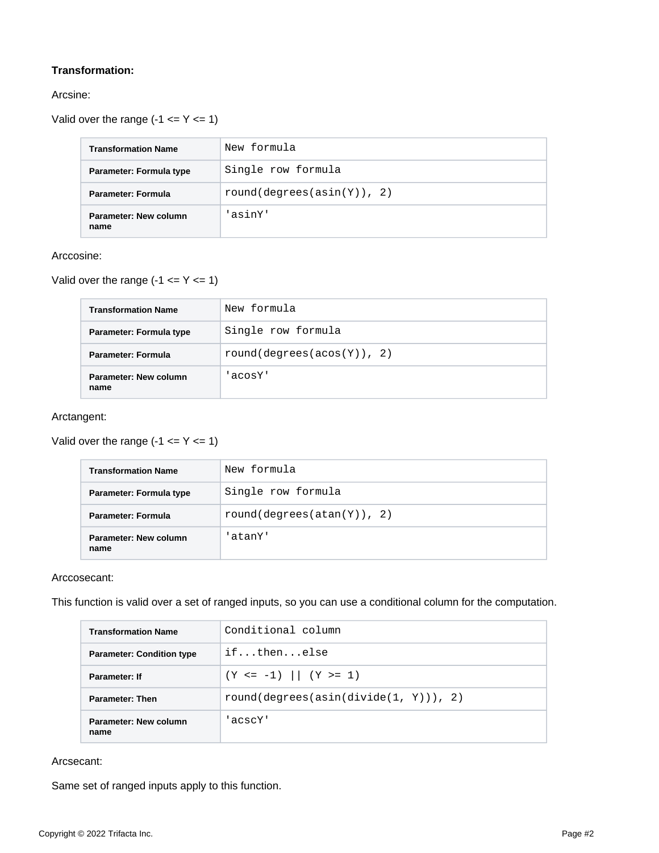# **Transformation:**

## Arcsine:

Valid over the range  $(-1 \le Y \le 1)$ 

| <b>Transformation Name</b>    | New formula                |  |  |
|-------------------------------|----------------------------|--|--|
| Parameter: Formula type       | Single row formula         |  |  |
| <b>Parameter: Formula</b>     | round(degrees(asin(Y)), 2) |  |  |
| Parameter: New column<br>name | 'asinY'                    |  |  |

#### Arccosine:

Valid over the range  $(-1 \le Y \le 1)$ 

| <b>Transformation Name</b>    | New formula                |
|-------------------------------|----------------------------|
| Parameter: Formula type       | Single row formula         |
| Parameter: Formula            | round(degrees(acos(Y)), 2) |
| Parameter: New column<br>name | 'acosY'                    |

#### Arctangent:

Valid over the range  $(-1 \le Y \le 1)$ 

| <b>Transformation Name</b>    | New formula                |
|-------------------------------|----------------------------|
| Parameter: Formula type       | Single row formula         |
| Parameter: Formula            | round(degrees(atan(Y)), 2) |
| Parameter: New column<br>name | 'atanY'                    |

## Arccosecant:

This function is valid over a set of ranged inputs, so you can use a conditional column for the computation.

| <b>Transformation Name</b>           | Conditional column                        |  |  |  |
|--------------------------------------|-------------------------------------------|--|--|--|
| <b>Parameter: Condition type</b>     | ifthenelse                                |  |  |  |
| Parameter: If                        | $(Y \le -1)$ $ (Y \ge -1)$                |  |  |  |
| <b>Parameter: Then</b>               | $round(degrees (asin(divide(1, Y)))$ , 2) |  |  |  |
| <b>Parameter: New column</b><br>name | 'acscY'                                   |  |  |  |

## Arcsecant:

Same set of ranged inputs apply to this function.